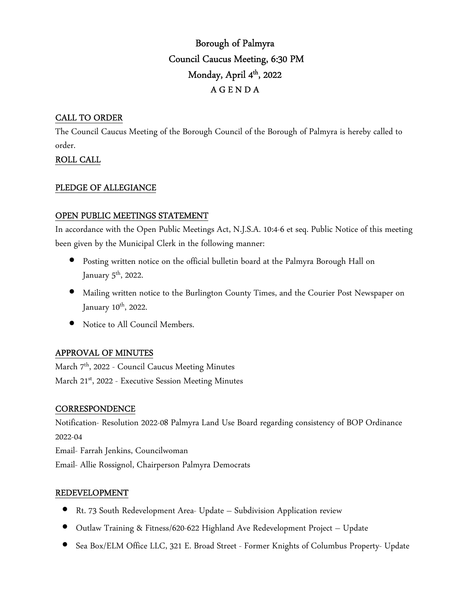# Borough of Palmyra Council Caucus Meeting, 6:30 PM Monday, April 4<sup>th</sup>, 2022 A G E N D A

# CALL TO ORDER

The Council Caucus Meeting of the Borough Council of the Borough of Palmyra is hereby called to order.

# ROLL CALL

# PLEDGE OF ALLEGIANCE

# OPEN PUBLIC MEETINGS STATEMENT

In accordance with the Open Public Meetings Act, N.J.S.A. 10:4-6 et seq. Public Notice of this meeting been given by the Municipal Clerk in the following manner:

- Posting written notice on the official bulletin board at the Palmyra Borough Hall on January  $5^{\text{th}}$ , 2022.
- Mailing written notice to the Burlington County Times, and the Courier Post Newspaper on January 10<sup>th</sup>, 2022.
- Notice to All Council Members.

# APPROVAL OF MINUTES

March 7<sup>th</sup>, 2022 - Council Caucus Meeting Minutes March 21<sup>st</sup>, 2022 - Executive Session Meeting Minutes

# **CORRESPONDENCE**

Notification- Resolution 2022-08 Palmyra Land Use Board regarding consistency of BOP Ordinance 2022-04 Email- Farrah Jenkins, Councilwoman

Email- Allie Rossignol, Chairperson Palmyra Democrats

# REDEVELOPMENT

- Rt. 73 South Redevelopment Area- Update Subdivision Application review
- Outlaw Training & Fitness/620-622 Highland Ave Redevelopment Project Update
- Sea Box/ELM Office LLC, 321 E. Broad Street Former Knights of Columbus Property- Update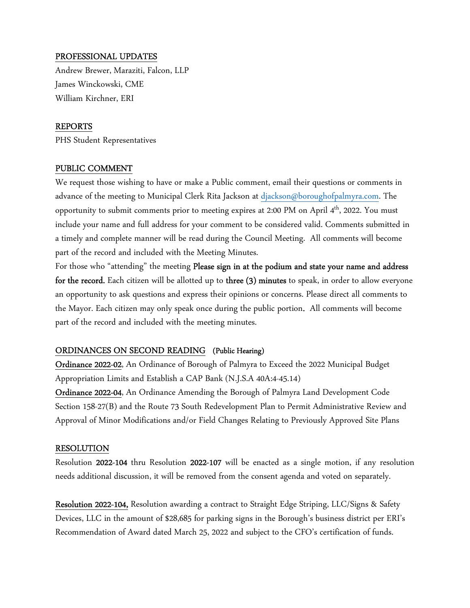#### PROFESSIONAL UPDATES

Andrew Brewer, Maraziti, Falcon, LLP James Winckowski, CME William Kirchner, ERI

#### REPORTS

PHS Student Representatives

#### PUBLIC COMMENT

We request those wishing to have or make a Public comment, email their questions or comments in advance of the meeting to Municipal Clerk Rita Jackson at djackson@boroughofpalmyra.com. The opportunity to submit comments prior to meeting expires at 2:00 PM on April 4<sup>th</sup>, 2022. You must include your name and full address for your comment to be considered valid. Comments submitted in a timely and complete manner will be read during the Council Meeting. All comments will become part of the record and included with the Meeting Minutes.

For those who "attending" the meeting Please sign in at the podium and state your name and address for the record. Each citizen will be allotted up to three (3) minutes to speak, in order to allow everyone an opportunity to ask questions and express their opinions or concerns. Please direct all comments to the Mayor. Each citizen may only speak once during the public portion. All comments will become part of the record and included with the meeting minutes.

#### ORDINANCES ON SECOND READING (Public Hearing)

Ordinance 2022-02, An Ordinance of Borough of Palmyra to Exceed the 2022 Municipal Budget Appropriation Limits and Establish a CAP Bank (N.J.S.A 40A:4-45.14)

Ordinance 2022-04, An Ordinance Amending the Borough of Palmyra Land Development Code Section 158-27(B) and the Route 73 South Redevelopment Plan to Permit Administrative Review and Approval of Minor Modifications and/or Field Changes Relating to Previously Approved Site Plans

#### RESOLUTION

Resolution 2022-104 thru Resolution 2022-107 will be enacted as a single motion, if any resolution needs additional discussion, it will be removed from the consent agenda and voted on separately.

Resolution 2022-104, Resolution awarding a contract to Straight Edge Striping, LLC/Signs & Safety Devices, LLC in the amount of \$28,685 for parking signs in the Borough's business district per ERI's Recommendation of Award dated March 25, 2022 and subject to the CFO's certification of funds.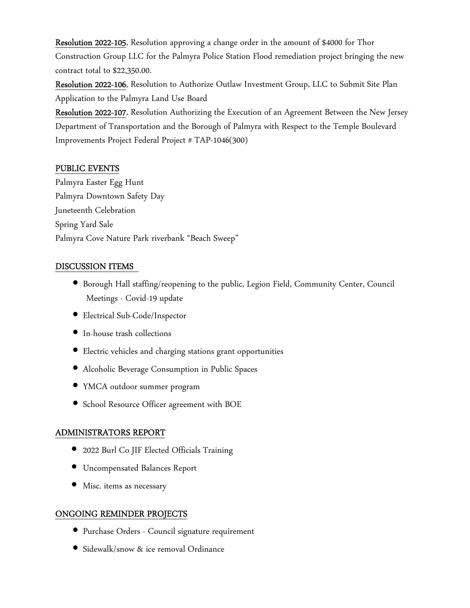Resolution 2022-105, Resolution approving a change order in the amount of \$4000 for Thor Construction Group LLC for the Palmyra Police Station Flood remediation project bringing the new contract total to \$22,350.00.

Resolution 2022-106, Resolution to Authorize Outlaw Investment Group, LLC to Submit Site Plan Application to the Palmyra Land Use Board

Resolution 2022-107, Resolution Authorizing the Execution of an Agreement Between the New Jersey Department of Transportation and the Borough of Palmyra with Respect to the Temple Boulevard Improvements Project Federal Project # TAP-1046(300)

### PUBLIC EVENTS

Palmyra Easter Egg Hunt Palmyra Downtown Safety Day Juneteenth Celebration Spring Yard Sale Palmyra Cove Nature Park riverbank "Beach Sweep"

#### DISCUSSION ITEMS

- Borough Hall staffing/reopening to the public, Legion Field, Community Center, Council Meetings - Covid-19 update
- Electrical Sub-Code/Inspector
- In-house trash collections
- Electric vehicles and charging stations grant opportunities
- Alcoholic Beverage Consumption in Public Spaces
- YMCA outdoor summer program
- School Resource Officer agreement with BOE

# ADMINISTRATORS REPORT

- 2022 Burl Co JIF Elected Officials Training
- Uncompensated Balances Report
- Misc. items as necessary

# ONGOING REMINDER PROJECTS

- Purchase Orders Council signature requirement
- Sidewalk/snow & ice removal Ordinance